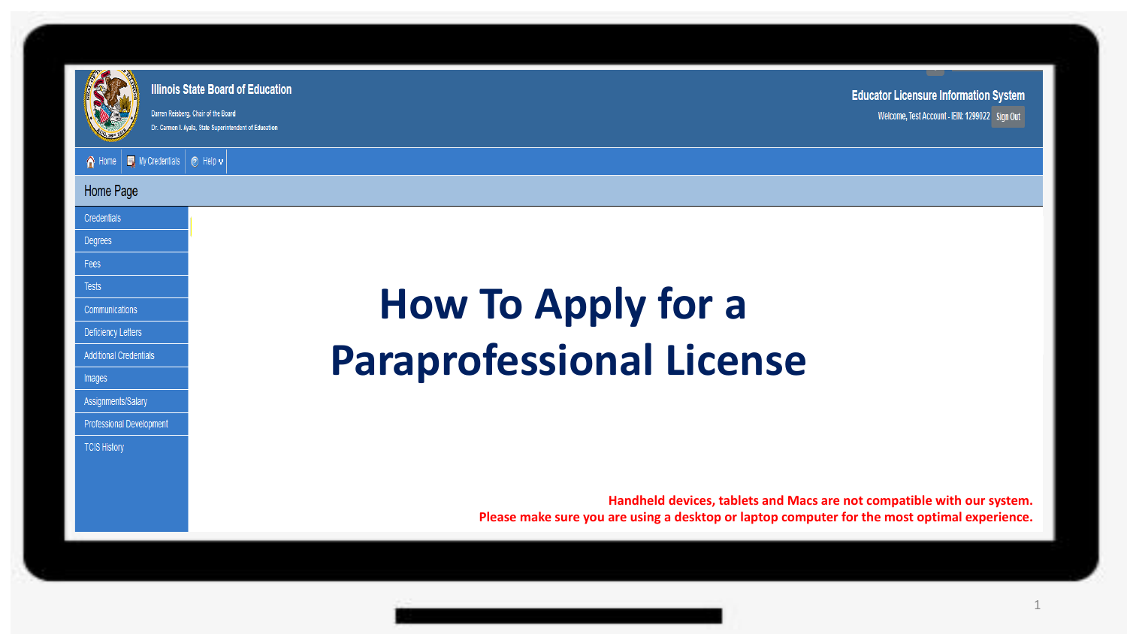

.<br>Darren Reisberg, Chair of the Board Dr. Carmen I. Avala. State Superintendent of Education

A Home | Ny Credentials | @ Help v |

# Home Page

Credentials

Degrees

Fees **Tests** 

**Communications** 

Deficiency Letters

**Additional Credentials** 

Images

Assignments/Salary

**Professional Development** 

**TCIS History** 

# **How To Apply for a Paraprofessional License**

**Handheld devices, tablets and Macs are not compatible with our system. Please make sure you are using a desktop or laptop computer for the most optimal experience.**

1

**Educator Licensure Information System** 

Welcome, Test Account - IEIN: 1299022 Sign Out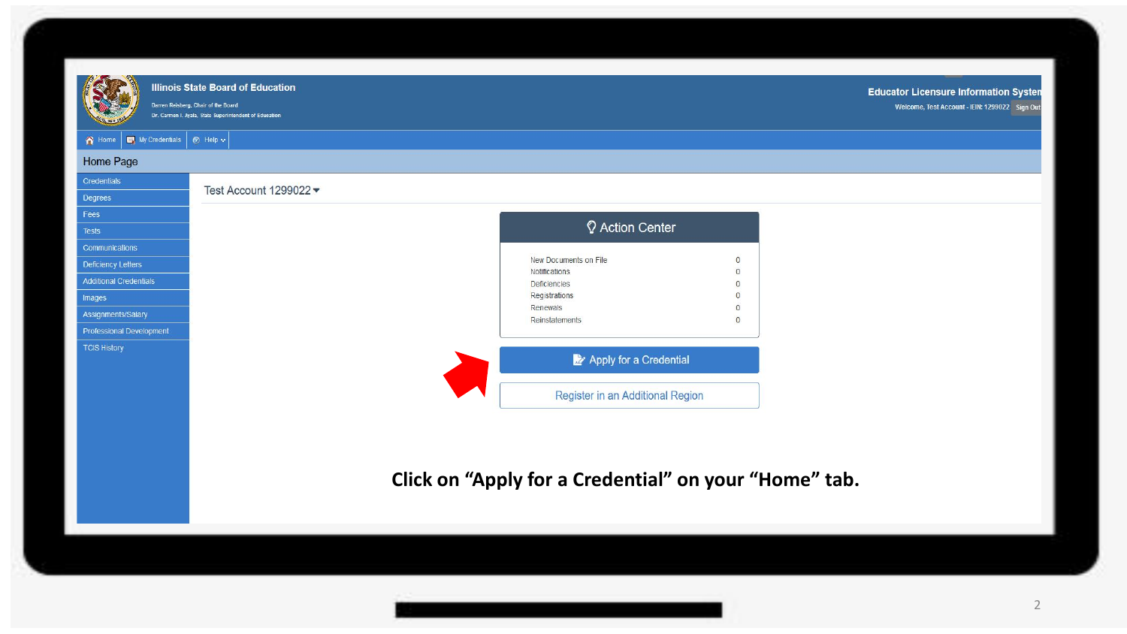

Darren Reisberg, Chair of the Board Dr. Carmen I. Ayala, State Superintendent of Education **Educator Licensure Information Systen** Welcome, Test Account - IEIN: 1299022 Sign Out

A Home | My Credentials | @ Help v |

## Home Page

| Credentials                   | Test Account 1299022 ▼ |                                                       |                      |
|-------------------------------|------------------------|-------------------------------------------------------|----------------------|
| Degrees                       |                        |                                                       |                      |
| Fees                          |                        |                                                       |                      |
| <b>Tests</b>                  |                        | C Action Center                                       |                      |
| Communications                |                        |                                                       |                      |
| Deficiency Letters            |                        | New Documents on File                                 | $\overline{0}$       |
| <b>Additional Credentials</b> |                        | Notifications                                         | $\Omega$             |
|                               |                        | <b>Deficiencies</b><br>Registrations                  | $\Omega$<br>$\Omega$ |
| Images                        |                        | Renewals                                              | $\Omega$             |
| Assignments/Salary            |                        | Reinstatements                                        | $\overline{0}$       |
| Professional Development      |                        |                                                       |                      |
| <b>TCIS History</b>           |                        |                                                       |                      |
|                               |                        | Apply for a Credential                                |                      |
|                               |                        |                                                       |                      |
|                               |                        | Register in an Additional Region                      |                      |
|                               |                        |                                                       |                      |
|                               |                        |                                                       |                      |
|                               |                        |                                                       |                      |
|                               |                        |                                                       |                      |
|                               |                        |                                                       |                      |
|                               |                        | Click on "Apply for a Credential" on your "Home" tab. |                      |
|                               |                        |                                                       |                      |
|                               |                        |                                                       |                      |
|                               |                        |                                                       |                      |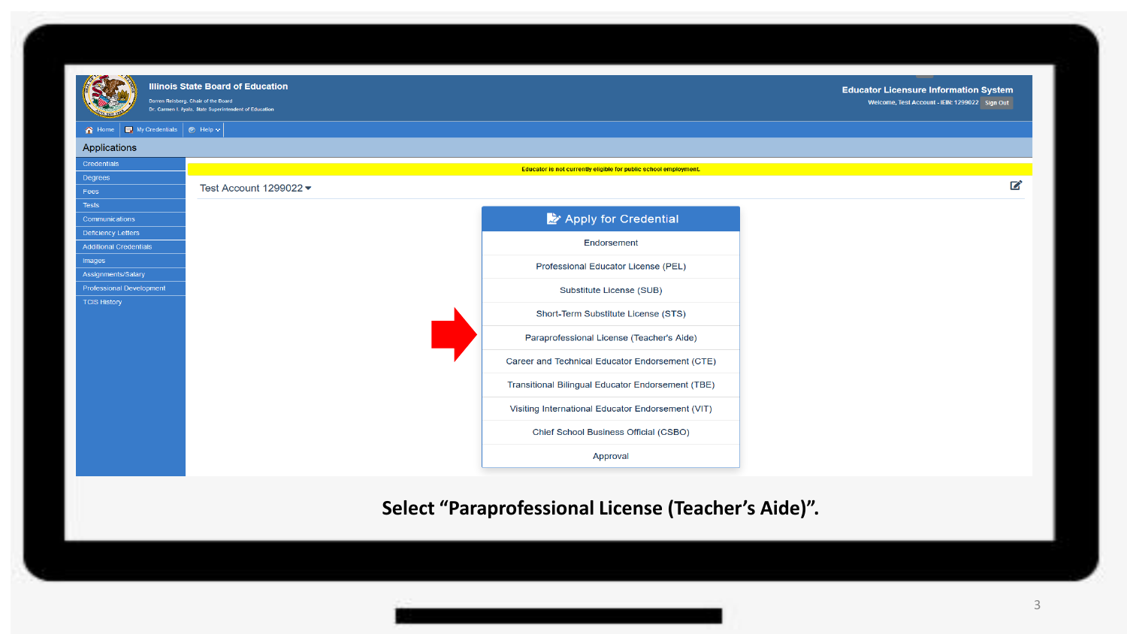

.<br>Darren Reisberg, Chair of the Board .<br>Dr. Carmen I. Ayala, State Superintendent of Education

#### A Home | My Credentials | @ Help ~



# **Select "Paraprofessional License (Teacher's Aide)".**

**Educator Licensure Information System** 

Welcome, Test Account - IEIN: 1299022 Sign Out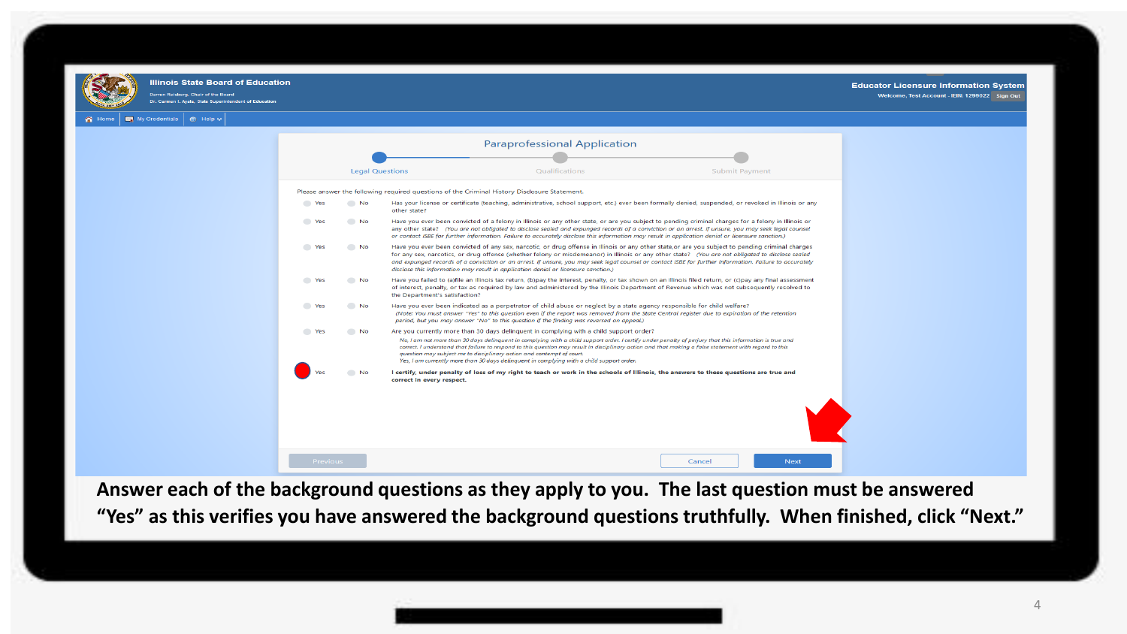

ren Reisberg, Chair of the Board .<br>Dr. Carmon I. Austa - State Superintendent of Educati

My Credentials | @ Help ~

#### **Educator Licensure Information System**

Welcome, Test Account - IEIN: 1299022 Sign Out

**Paraprofessional Application Legal Questions** Qualifications **Submit Payment** Please answer the following required questions of the Criminal History Disclosure Statement. Has your license or certificate (teaching, administrative, school support, etc.) ever been formally denied, suspended, or revoked in Illinois or any **Excess**  $N<sub>0</sub>$ other state? Have you ever been convicted of a felony in Illinois or any other state, or are you subject to pending criminal charges for a felony in Illinois or **The Yes**  $N<sub>0</sub>$ any other state? (You are not obligated to disclose sealed and expunged records of a conviction or an arrest. If unsure, you may seek legal counsel or contact ISBE for further information. Failure to accurately disclose this information may result in application denial or licensure sanction.) Have you ever been convicted of any sex, narcotic, or drug offense in Illinois or any other state, or are you subject to pending criminal charges **Second** Yes No. for any sex, narcotics, or drug offense (whether felony or misdemeanor) in Illinois or any other state? (You are not obligated to disclose sealed and expunged records of a conviction or an arrest. If unsure, you may seek legal counsel or contact ISBE for further information. Failure to accurately disclose this information may result in application denial or licensure sanction.) Have you failed to (a)file an Illinois tax return, (b)pay the interest, penalty, or tax shown on an Illinois filed return, or (c)pay any final assessment  $V_{P5}$  $N<sub>0</sub>$ of interest, penalty, or tax as required by law and administered by the Illinois Department of Revenue which was not subsequently resolved to the Department's satisfaction? **The Yes**  $N<sub>0</sub>$ Have you ever been indicated as a perpetrator of child abuse or neglect by a state agency responsible for child welfare? (Note: You must answer "Yes" to this question even if the report was removed from the State Central register due to expiration of the retention period, but you may answer "No" to this auestion if the findina was reversed on appeal.) **Nes** No. Are you currently more than 30 days delinquent in complying with a child support order? No, I am not more than 30 days delinquent in complying with a child support order. I certify under penalty of perjury that this information is true and correct. I understand that failure to respond to this question may result in disciplinary action and that making a false statement with regard to this question may subject me to disciplinary action and contempt of court. Yes, I am currently more than 30 days delinquent in complying with a child support order. I certify, under penalty of loss of my right to teach or work in the schools of Illinois, the answers to these questions are true and correct in every respect. Cancel Next

**Answer each of the background questions as they apply to you. The last question must be answered "Yes" as this verifies you have answered the background questions truthfully. When finished, click "Next."**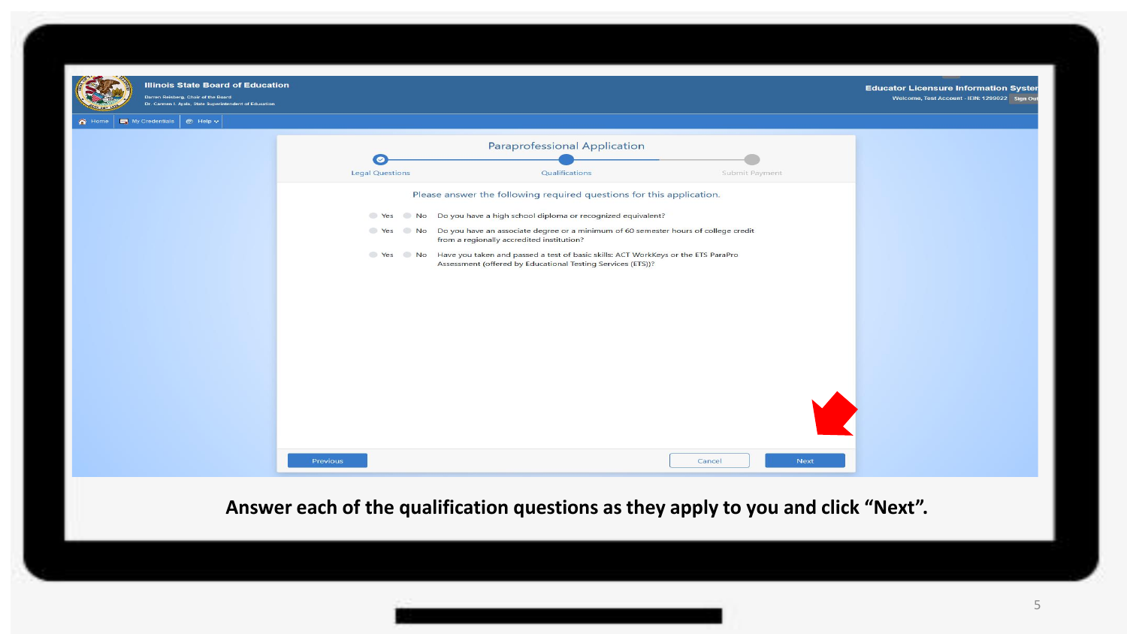

)<br>arren Reisberg, Chair of the Board

**Educator Licensure Information Syster** Welcome, Test Account - IEIN: 1299022 Sign Ou

Home My Credentials | @ Help w



**Answer each of the qualification questions as they apply to you and click "Next".**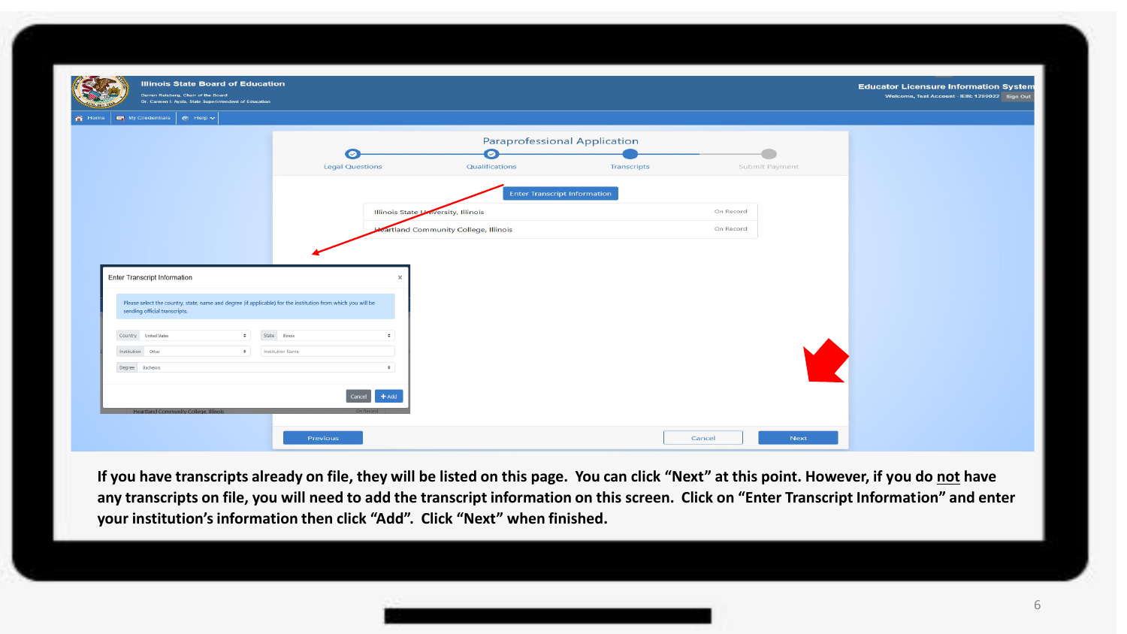| Darren Reisberg, Chair of the Board<br>Dr. Carmen I. Ayala, State Superintendent of Education |                                                                                                              |                                     |                                      |                                     |                | Welcome, Test Account - IEIN: 1299022 Sign Out |
|-----------------------------------------------------------------------------------------------|--------------------------------------------------------------------------------------------------------------|-------------------------------------|--------------------------------------|-------------------------------------|----------------|------------------------------------------------|
| My Credentials   @ Help ~                                                                     |                                                                                                              |                                     |                                      |                                     |                |                                                |
|                                                                                               |                                                                                                              |                                     |                                      | Paraprofessional Application        |                |                                                |
|                                                                                               |                                                                                                              | $\circ$<br><b>Legal Questions</b>   | $\bullet$<br>Qualifications          | Transcripts                         | Submit Payment |                                                |
|                                                                                               |                                                                                                              |                                     |                                      |                                     |                |                                                |
|                                                                                               |                                                                                                              |                                     |                                      | <b>Enter Transcript Information</b> |                |                                                |
|                                                                                               |                                                                                                              | Illinois State University, Illinois |                                      |                                     | On Record      |                                                |
|                                                                                               |                                                                                                              |                                     | cartland Community College, Illinois |                                     | On Record      |                                                |
|                                                                                               |                                                                                                              |                                     |                                      |                                     |                |                                                |
|                                                                                               |                                                                                                              |                                     |                                      |                                     |                |                                                |
|                                                                                               |                                                                                                              |                                     |                                      |                                     |                |                                                |
|                                                                                               |                                                                                                              |                                     |                                      |                                     |                |                                                |
| sending official transcripts.                                                                 | Please select the country, state, name and degree (if applicable) for the institution from which you will be |                                     |                                      |                                     |                |                                                |
|                                                                                               | $\div$<br>State Illinois                                                                                     | $\div$                              |                                      |                                     |                |                                                |
| Country United States<br>Institution Other                                                    | $\div$<br>Institution Name                                                                                   |                                     |                                      |                                     |                |                                                |
| Degree Bachelors                                                                              |                                                                                                              | $\div$                              |                                      |                                     |                |                                                |
| <b>Enter Transcript Information</b>                                                           |                                                                                                              | $+$ Add                             |                                      |                                     |                |                                                |

**If you have transcripts already on file, they will be listed on this page. You can click "Next" at this point. However, if you do not have any transcripts on file, you will need to add the transcript information on this screen. Click on "Enter Transcript Information" and enter your institution's information then click "Add". Click "Next" when finished.**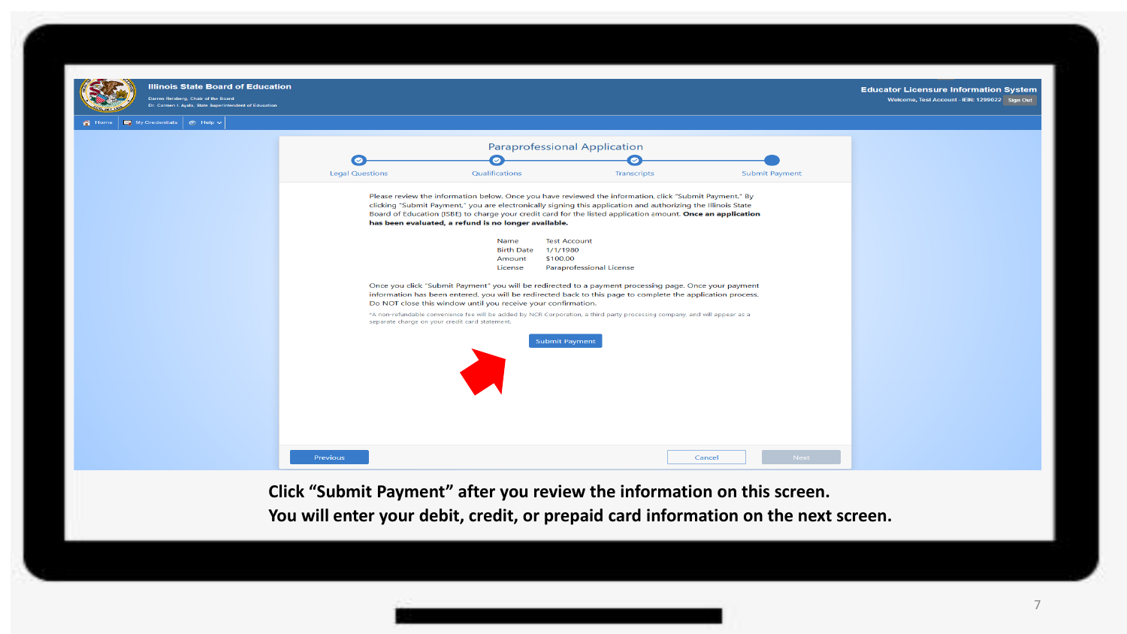

**Click "Submit Payment" after you review the information on this screen. You will enter your debit, credit, or prepaid card information on the next screen.**